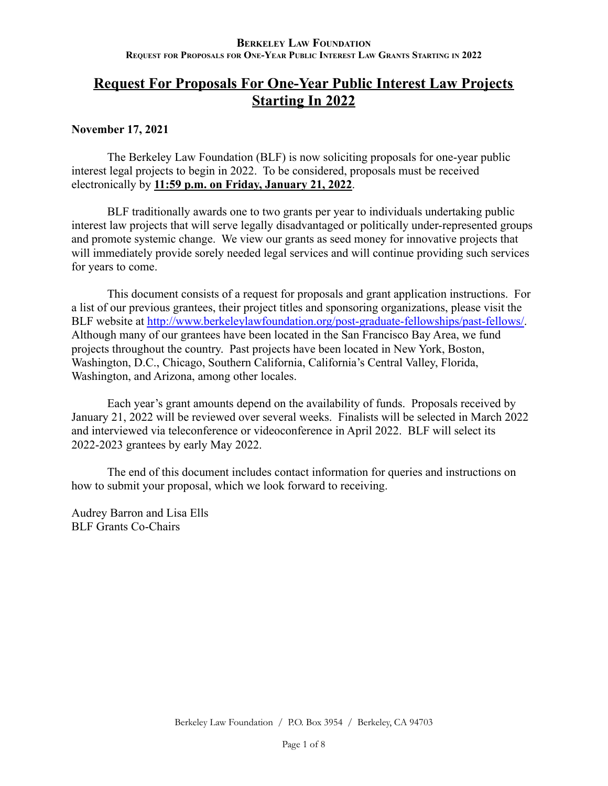# **Request For Proposals For One-Year Public Interest Law Projects Starting In 2022**

## **November 17, 2021**

The Berkeley Law Foundation (BLF) is now soliciting proposals for one-year public interest legal projects to begin in 2022. To be considered, proposals must be received electronically by **11:59 p.m. on Friday, January 21, 2022**.

BLF traditionally awards one to two grants per year to individuals undertaking public interest law projects that will serve legally disadvantaged or politically under-represented groups and promote systemic change. We view our grants as seed money for innovative projects that will immediately provide sorely needed legal services and will continue providing such services for years to come.

This document consists of a request for proposals and grant application instructions. For a list of our previous grantees, their project titles and sponsoring organizations, please visit the BLF website at [http://www.berkeleylawfoundation.org/post-graduate-fellowships/past-fellows/.](http://www.berkeleylawfoundation.org/post-graduate-fellowships/past-fellows/) Although many of our grantees have been located in the San Francisco Bay Area, we fund projects throughout the country. Past projects have been located in New York, Boston, Washington, D.C., Chicago, Southern California, California's Central Valley, Florida, Washington, and Arizona, among other locales.

Each year's grant amounts depend on the availability of funds. Proposals received by January 21, 2022 will be reviewed over several weeks. Finalists will be selected in March 2022 and interviewed via teleconference or videoconference in April 2022. BLF will select its 2022-2023 grantees by early May 2022.

The end of this document includes contact information for queries and instructions on how to submit your proposal, which we look forward to receiving.

Audrey Barron and Lisa Ells BLF Grants Co-Chairs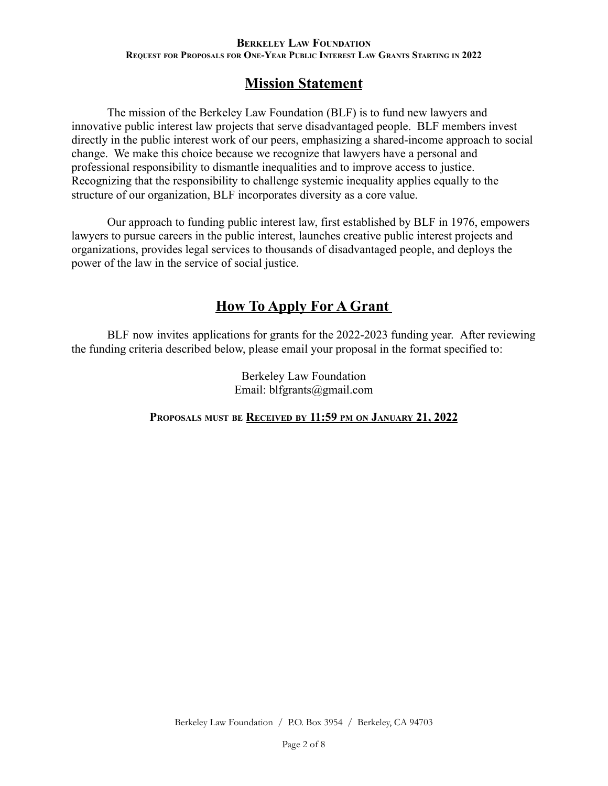# **Mission Statement**

The mission of the Berkeley Law Foundation (BLF) is to fund new lawyers and innovative public interest law projects that serve disadvantaged people. BLF members invest directly in the public interest work of our peers, emphasizing a shared-income approach to social change. We make this choice because we recognize that lawyers have a personal and professional responsibility to dismantle inequalities and to improve access to justice. Recognizing that the responsibility to challenge systemic inequality applies equally to the structure of our organization, BLF incorporates diversity as a core value.

Our approach to funding public interest law, first established by BLF in 1976, empowers lawyers to pursue careers in the public interest, launches creative public interest projects and organizations, provides legal services to thousands of disadvantaged people, and deploys the power of the law in the service of social justice.

# **How To Apply For A Grant**

BLF now invites applications for grants for the 2022-2023 funding year. After reviewing the funding criteria described below, please email your proposal in the format specified to:

> Berkeley Law Foundation Email: blfgrants@gmail.com

**PROPOSALS MUST BE RECEIVED BY 11:59 PM ON JANUARY 21, 2022**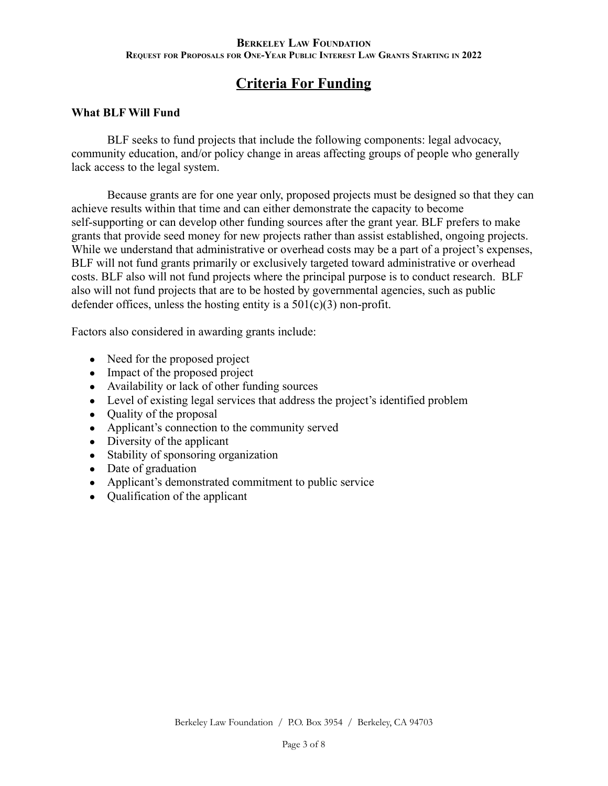# **Criteria For Funding**

## **What BLF Will Fund**

BLF seeks to fund projects that include the following components: legal advocacy, community education, and/or policy change in areas affecting groups of people who generally lack access to the legal system.

Because grants are for one year only, proposed projects must be designed so that they can achieve results within that time and can either demonstrate the capacity to become self-supporting or can develop other funding sources after the grant year. BLF prefers to make grants that provide seed money for new projects rather than assist established, ongoing projects. While we understand that administrative or overhead costs may be a part of a project's expenses, BLF will not fund grants primarily or exclusively targeted toward administrative or overhead costs. BLF also will not fund projects where the principal purpose is to conduct research. BLF also will not fund projects that are to be hosted by governmental agencies, such as public defender offices, unless the hosting entity is a  $501(c)(3)$  non-profit.

Factors also considered in awarding grants include:

- Need for the proposed project
- Impact of the proposed project
- Availability or lack of other funding sources
- Level of existing legal services that address the project's identified problem
- Quality of the proposal
- Applicant's connection to the community served
- Diversity of the applicant
- Stability of sponsoring organization
- Date of graduation
- Applicant's demonstrated commitment to public service
- Qualification of the applicant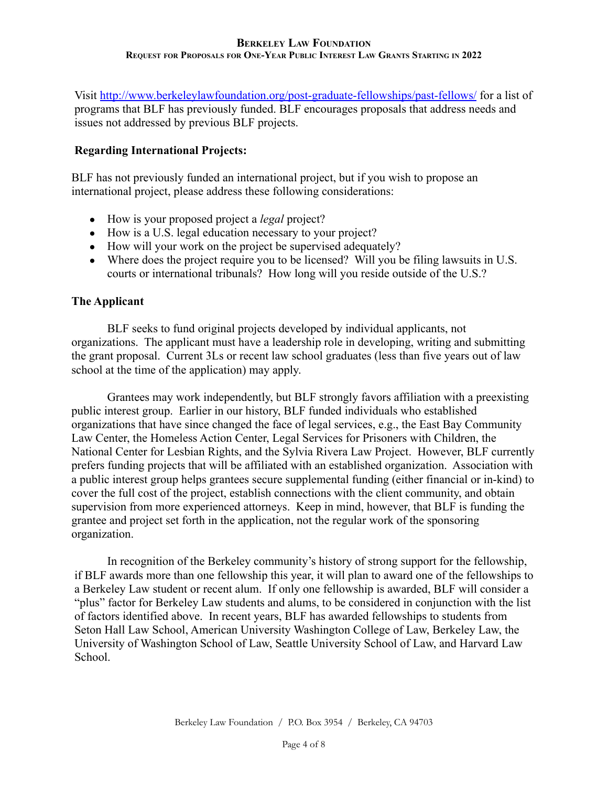Visit <http://www.berkeleylawfoundation.org/post-graduate-fellowships/past-fellows/> for a list of programs that BLF has previously funded. BLF encourages proposals that address needs and issues not addressed by previous BLF projects.

## **Regarding International Projects:**

BLF has not previously funded an international project, but if you wish to propose an international project, please address these following considerations:

- How is your proposed project a *legal* project?
- How is a U.S. legal education necessary to your project?
- How will your work on the project be supervised adequately?
- Where does the project require you to be licensed? Will you be filing lawsuits in U.S. courts or international tribunals? How long will you reside outside of the U.S.?

### **The Applicant**

BLF seeks to fund original projects developed by individual applicants, not organizations. The applicant must have a leadership role in developing, writing and submitting the grant proposal. Current 3Ls or recent law school graduates (less than five years out of law school at the time of the application) may apply.

Grantees may work independently, but BLF strongly favors affiliation with a preexisting public interest group. Earlier in our history, BLF funded individuals who established organizations that have since changed the face of legal services, e.g., the East Bay Community Law Center, the Homeless Action Center, Legal Services for Prisoners with Children, the National Center for Lesbian Rights, and the Sylvia Rivera Law Project. However, BLF currently prefers funding projects that will be affiliated with an established organization. Association with a public interest group helps grantees secure supplemental funding (either financial or in-kind) to cover the full cost of the project, establish connections with the client community, and obtain supervision from more experienced attorneys. Keep in mind, however, that BLF is funding the grantee and project set forth in the application, not the regular work of the sponsoring organization.

In recognition of the Berkeley community's history of strong support for the fellowship, if BLF awards more than one fellowship this year, it will plan to award one of the fellowships to a Berkeley Law student or recent alum. If only one fellowship is awarded, BLF will consider a "plus" factor for Berkeley Law students and alums, to be considered in conjunction with the list of factors identified above. In recent years, BLF has awarded fellowships to students from Seton Hall Law School, American University Washington College of Law, Berkeley Law, the University of Washington School of Law, Seattle University School of Law, and Harvard Law School.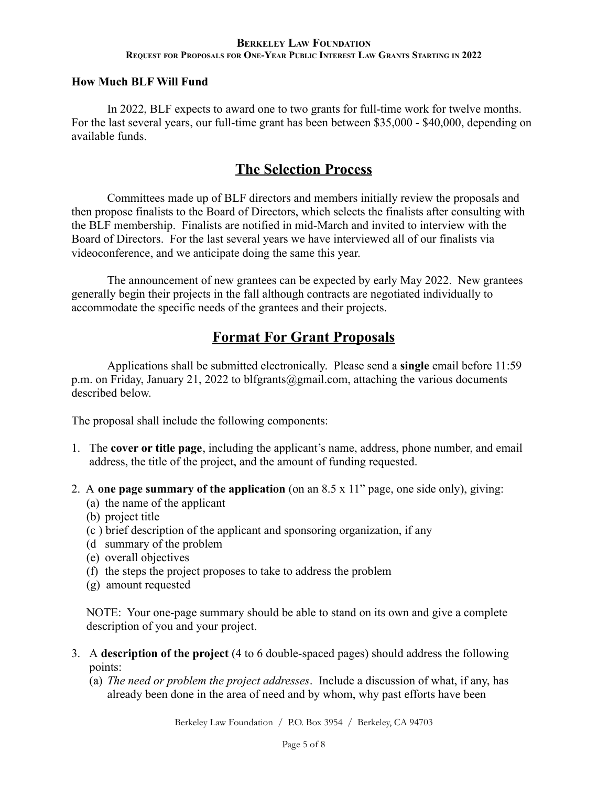## **How Much BLF Will Fund**

In 2022, BLF expects to award one to two grants for full-time work for twelve months. For the last several years, our full-time grant has been between \$35,000 - \$40,000, depending on available funds.

## **The Selection Process**

Committees made up of BLF directors and members initially review the proposals and then propose finalists to the Board of Directors, which selects the finalists after consulting with the BLF membership. Finalists are notified in mid-March and invited to interview with the Board of Directors. For the last several years we have interviewed all of our finalists via videoconference, and we anticipate doing the same this year.

The announcement of new grantees can be expected by early May 2022. New grantees generally begin their projects in the fall although contracts are negotiated individually to accommodate the specific needs of the grantees and their projects.

# **Format For Grant Proposals**

Applications shall be submitted electronically. Please send a **single** email before 11:59 p.m. on Friday, January 21, 2022 to blfgrants@gmail.com, attaching the various documents described below.

The proposal shall include the following components:

- 1. The **cover or title page**, including the applicant's name, address, phone number, and email address, the title of the project, and the amount of funding requested.
- 2. A **one page summary of the application** (on an 8.5 x 11" page, one side only), giving:
	- (a) the name of the applicant
	- (b) project title
	- (c ) brief description of the applicant and sponsoring organization, if any
	- (d summary of the problem
	- (e) overall objectives
	- (f) the steps the project proposes to take to address the problem
	- (g) amount requested

NOTE: Your one-page summary should be able to stand on its own and give a complete description of you and your project.

- 3. A **description of the project** (4 to 6 double-spaced pages) should address the following points:
	- (a) *The need or problem the project addresses*. Include a discussion of what, if any, has already been done in the area of need and by whom, why past efforts have been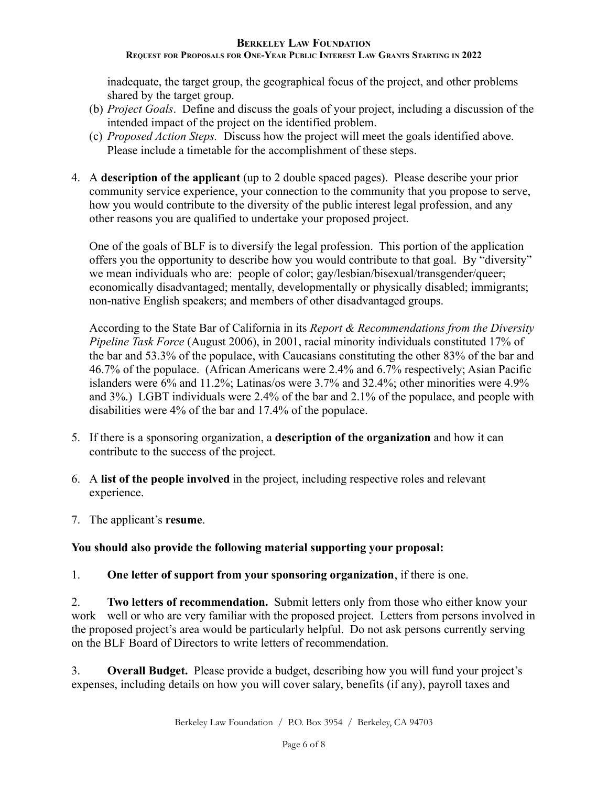## **BERKELEY LAW FOUNDATION**

### REQUEST FOR PROPOSALS FOR ONE-YEAR PUBLIC INTEREST LAW GRANTS STARTING IN 2022

inadequate, the target group, the geographical focus of the project, and other problems shared by the target group.

- (b) *Project Goals*. Define and discuss the goals of your project, including a discussion of the intended impact of the project on the identified problem.
- (c) *Proposed Action Steps.* Discuss how the project will meet the goals identified above. Please include a timetable for the accomplishment of these steps.
- 4. A **description of the applicant** (up to 2 double spaced pages). Please describe your prior community service experience, your connection to the community that you propose to serve, how you would contribute to the diversity of the public interest legal profession, and any other reasons you are qualified to undertake your proposed project.

One of the goals of BLF is to diversify the legal profession. This portion of the application offers you the opportunity to describe how you would contribute to that goal. By "diversity" we mean individuals who are: people of color; gay/lesbian/bisexual/transgender/queer; economically disadvantaged; mentally, developmentally or physically disabled; immigrants; non-native English speakers; and members of other disadvantaged groups.

According to the State Bar of California in its *Report & Recommendations from the Diversity Pipeline Task Force* (August 2006), in 2001, racial minority individuals constituted 17% of the bar and 53.3% of the populace, with Caucasians constituting the other 83% of the bar and 46.7% of the populace. (African Americans were 2.4% and 6.7% respectively; Asian Pacific islanders were 6% and 11.2%; Latinas/os were 3.7% and 32.4%; other minorities were 4.9% and 3%.) LGBT individuals were 2.4% of the bar and 2.1% of the populace, and people with disabilities were 4% of the bar and 17.4% of the populace.

- 5. If there is a sponsoring organization, a **description of the organization** and how it can contribute to the success of the project.
- 6. A **list of the people involved** in the project, including respective roles and relevant experience.
- 7. The applicant's **resume**.

## **You should also provide the following material supporting your proposal:**

1. **One letter of support from your sponsoring organization**, if there is one.

2. **Two letters of recommendation.** Submit letters only from those who either know your work well or who are very familiar with the proposed project. Letters from persons involved in the proposed project's area would be particularly helpful. Do not ask persons currently serving on the BLF Board of Directors to write letters of recommendation.

3. **Overall Budget.** Please provide a budget, describing how you will fund your project's expenses, including details on how you will cover salary, benefits (if any), payroll taxes and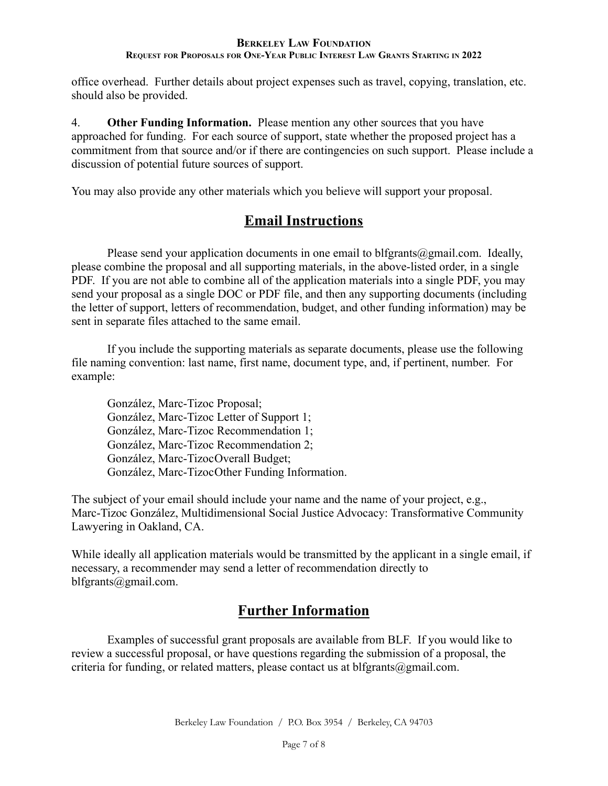office overhead. Further details about project expenses such as travel, copying, translation, etc. should also be provided.

4. **Other Funding Information.** Please mention any other sources that you have approached for funding. For each source of support, state whether the proposed project has a commitment from that source and/or if there are contingencies on such support. Please include a discussion of potential future sources of support.

You may also provide any other materials which you believe will support your proposal.

## **Email Instructions**

Please send your application documents in one email to blfgrants@gmail.com. Ideally, please combine the proposal and all supporting materials, in the above-listed order, in a single PDF. If you are not able to combine all of the application materials into a single PDF, you may send your proposal as a single DOC or PDF file, and then any supporting documents (including the letter of support, letters of recommendation, budget, and other funding information) may be sent in separate files attached to the same email.

If you include the supporting materials as separate documents, please use the following file naming convention: last name, first name, document type, and, if pertinent, number. For example:

González, Marc-Tizoc Proposal; González, Marc-Tizoc Letter of Support 1; González, Marc-Tizoc Recommendation 1; González, Marc-Tizoc Recommendation 2; González, Marc-TizocOverall Budget; González, Marc-TizocOther Funding Information.

The subject of your email should include your name and the name of your project, e.g., Marc-Tizoc González, Multidimensional Social Justice Advocacy: Transformative Community Lawyering in Oakland, CA.

While ideally all application materials would be transmitted by the applicant in a single email, if necessary, a recommender may send a letter of recommendation directly to blfgrants@gmail.com.

# **Further Information**

Examples of successful grant proposals are available from BLF. If you would like to review a successful proposal, or have questions regarding the submission of a proposal, the criteria for funding, or related matters, please contact us at blfgrants $@g$ mail.com.